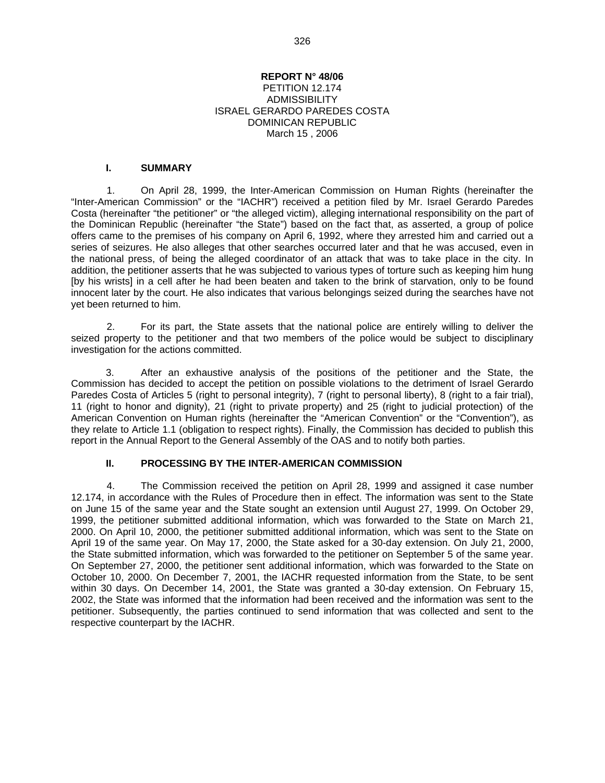#### **REPORT N° 48/06**

#### PETITION 12.174 **ADMISSIBILITY** ISRAEL GERARDO PAREDES COSTA DOMINICAN REPUBLIC March 15 , 2006

#### **I. SUMMARY**

1. On April 28, 1999, the Inter-American Commission on Human Rights (hereinafter the "Inter-American Commission" or the "IACHR") received a petition filed by Mr. Israel Gerardo Paredes Costa (hereinafter "the petitioner" or "the alleged victim), alleging international responsibility on the part of the Dominican Republic (hereinafter "the State") based on the fact that, as asserted, a group of police offers came to the premises of his company on April 6, 1992, where they arrested him and carried out a series of seizures. He also alleges that other searches occurred later and that he was accused, even in the national press, of being the alleged coordinator of an attack that was to take place in the city. In addition, the petitioner asserts that he was subjected to various types of torture such as keeping him hung [by his wrists] in a cell after he had been beaten and taken to the brink of starvation, only to be found innocent later by the court. He also indicates that various belongings seized during the searches have not yet been returned to him.

2. For its part, the State assets that the national police are entirely willing to deliver the seized property to the petitioner and that two members of the police would be subject to disciplinary investigation for the actions committed.

3. After an exhaustive analysis of the positions of the petitioner and the State, the Commission has decided to accept the petition on possible violations to the detriment of Israel Gerardo Paredes Costa of Articles 5 (right to personal integrity), 7 (right to personal liberty), 8 (right to a fair trial), 11 (right to honor and dignity), 21 (right to private property) and 25 (right to judicial protection) of the American Convention on Human rights (hereinafter the "American Convention" or the "Convention"), as they relate to Article 1.1 (obligation to respect rights). Finally, the Commission has decided to publish this report in the Annual Report to the General Assembly of the OAS and to notify both parties.

### **II. PROCESSING BY THE INTER-AMERICAN COMMISSION**

4. The Commission received the petition on April 28, 1999 and assigned it case number 12.174, in accordance with the Rules of Procedure then in effect. The information was sent to the State on June 15 of the same year and the State sought an extension until August 27, 1999. On October 29, 1999, the petitioner submitted additional information, which was forwarded to the State on March 21, 2000. On April 10, 2000, the petitioner submitted additional information, which was sent to the State on April 19 of the same year. On May 17, 2000, the State asked for a 30-day extension. On July 21, 2000, the State submitted information, which was forwarded to the petitioner on September 5 of the same year. On September 27, 2000, the petitioner sent additional information, which was forwarded to the State on October 10, 2000. On December 7, 2001, the IACHR requested information from the State, to be sent within 30 days. On December 14, 2001, the State was granted a 30-day extension. On February 15, 2002, the State was informed that the information had been received and the information was sent to the petitioner. Subsequently, the parties continued to send information that was collected and sent to the respective counterpart by the IACHR.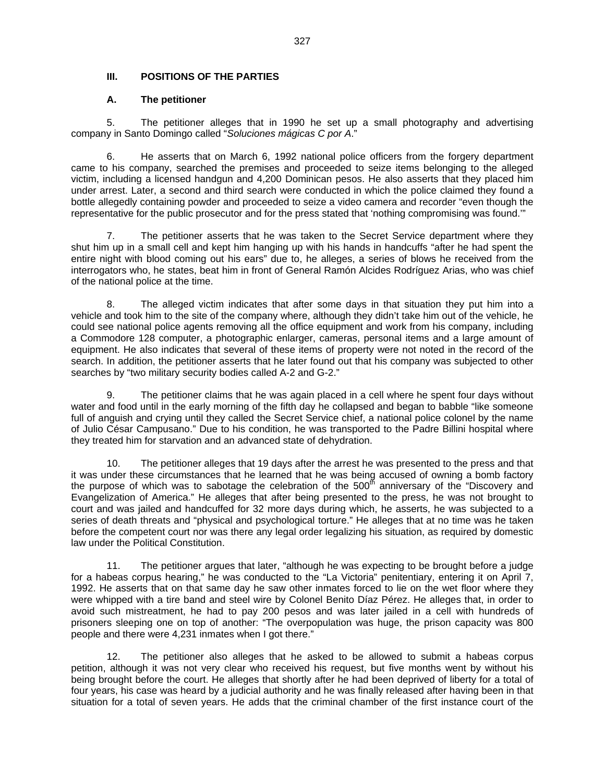# **III. POSITIONS OF THE PARTIES**

#### **A. The petitioner**

5. The petitioner alleges that in 1990 he set up a small photography and advertising company in Santo Domingo called "*Soluciones mágicas C por A*."

6. He asserts that on March 6, 1992 national police officers from the forgery department came to his company, searched the premises and proceeded to seize items belonging to the alleged victim, including a licensed handgun and 4,200 Dominican pesos. He also asserts that they placed him under arrest. Later, a second and third search were conducted in which the police claimed they found a bottle allegedly containing powder and proceeded to seize a video camera and recorder "even though the representative for the public prosecutor and for the press stated that 'nothing compromising was found.'"

7. The petitioner asserts that he was taken to the Secret Service department where they shut him up in a small cell and kept him hanging up with his hands in handcuffs "after he had spent the entire night with blood coming out his ears" due to, he alleges, a series of blows he received from the interrogators who, he states, beat him in front of General Ramón Alcides Rodríguez Arias, who was chief of the national police at the time.

8. The alleged victim indicates that after some days in that situation they put him into a vehicle and took him to the site of the company where, although they didn't take him out of the vehicle, he could see national police agents removing all the office equipment and work from his company, including a Commodore 128 computer, a photographic enlarger, cameras, personal items and a large amount of equipment. He also indicates that several of these items of property were not noted in the record of the search. In addition, the petitioner asserts that he later found out that his company was subjected to other searches by "two military security bodies called A-2 and G-2."

9. The petitioner claims that he was again placed in a cell where he spent four days without water and food until in the early morning of the fifth day he collapsed and began to babble "like someone full of anguish and crying until they called the Secret Service chief, a national police colonel by the name of Julio César Campusano." Due to his condition, he was transported to the Padre Billini hospital where they treated him for starvation and an advanced state of dehydration.

10. The petitioner alleges that 19 days after the arrest he was presented to the press and that it was under these circumstances that he learned that he was being accused of owning a bomb factory the purpose of which was to sabotage the celebration of the 500<sup>th</sup> anniversary of the "Discovery and" Evangelization of America." He alleges that after being presented to the press, he was not brought to court and was jailed and handcuffed for 32 more days during which, he asserts, he was subjected to a series of death threats and "physical and psychological torture." He alleges that at no time was he taken before the competent court nor was there any legal order legalizing his situation, as required by domestic law under the Political Constitution.

11. The petitioner argues that later, "although he was expecting to be brought before a judge for a habeas corpus hearing," he was conducted to the "La Victoria" penitentiary, entering it on April 7, 1992. He asserts that on that same day he saw other inmates forced to lie on the wet floor where they were whipped with a tire band and steel wire by Colonel Benito Díaz Pérez. He alleges that, in order to avoid such mistreatment, he had to pay 200 pesos and was later jailed in a cell with hundreds of prisoners sleeping one on top of another: "The overpopulation was huge, the prison capacity was 800 people and there were 4,231 inmates when I got there."

12. The petitioner also alleges that he asked to be allowed to submit a habeas corpus petition, although it was not very clear who received his request, but five months went by without his being brought before the court. He alleges that shortly after he had been deprived of liberty for a total of four years, his case was heard by a judicial authority and he was finally released after having been in that situation for a total of seven years. He adds that the criminal chamber of the first instance court of the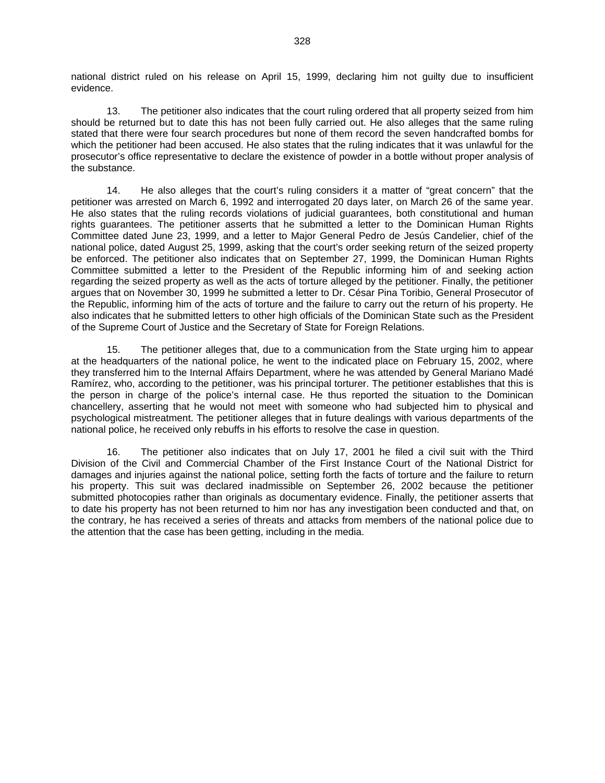national district ruled on his release on April 15, 1999, declaring him not guilty due to insufficient evidence.

13. The petitioner also indicates that the court ruling ordered that all property seized from him should be returned but to date this has not been fully carried out. He also alleges that the same ruling stated that there were four search procedures but none of them record the seven handcrafted bombs for which the petitioner had been accused. He also states that the ruling indicates that it was unlawful for the prosecutor's office representative to declare the existence of powder in a bottle without proper analysis of the substance.

14. He also alleges that the court's ruling considers it a matter of "great concern" that the petitioner was arrested on March 6, 1992 and interrogated 20 days later, on March 26 of the same year. He also states that the ruling records violations of judicial guarantees, both constitutional and human rights guarantees. The petitioner asserts that he submitted a letter to the Dominican Human Rights Committee dated June 23, 1999, and a letter to Major General Pedro de Jesús Candelier, chief of the national police, dated August 25, 1999, asking that the court's order seeking return of the seized property be enforced. The petitioner also indicates that on September 27, 1999, the Dominican Human Rights Committee submitted a letter to the President of the Republic informing him of and seeking action regarding the seized property as well as the acts of torture alleged by the petitioner. Finally, the petitioner argues that on November 30, 1999 he submitted a letter to Dr. César Pina Toribio, General Prosecutor of the Republic, informing him of the acts of torture and the failure to carry out the return of his property. He also indicates that he submitted letters to other high officials of the Dominican State such as the President of the Supreme Court of Justice and the Secretary of State for Foreign Relations.

15. The petitioner alleges that, due to a communication from the State urging him to appear at the headquarters of the national police, he went to the indicated place on February 15, 2002, where they transferred him to the Internal Affairs Department, where he was attended by General Mariano Madé Ramírez, who, according to the petitioner, was his principal torturer. The petitioner establishes that this is the person in charge of the police's internal case. He thus reported the situation to the Dominican chancellery, asserting that he would not meet with someone who had subjected him to physical and psychological mistreatment. The petitioner alleges that in future dealings with various departments of the national police, he received only rebuffs in his efforts to resolve the case in question.

16. The petitioner also indicates that on July 17, 2001 he filed a civil suit with the Third Division of the Civil and Commercial Chamber of the First Instance Court of the National District for damages and injuries against the national police, setting forth the facts of torture and the failure to return his property. This suit was declared inadmissible on September 26, 2002 because the petitioner submitted photocopies rather than originals as documentary evidence. Finally, the petitioner asserts that to date his property has not been returned to him nor has any investigation been conducted and that, on the contrary, he has received a series of threats and attacks from members of the national police due to the attention that the case has been getting, including in the media.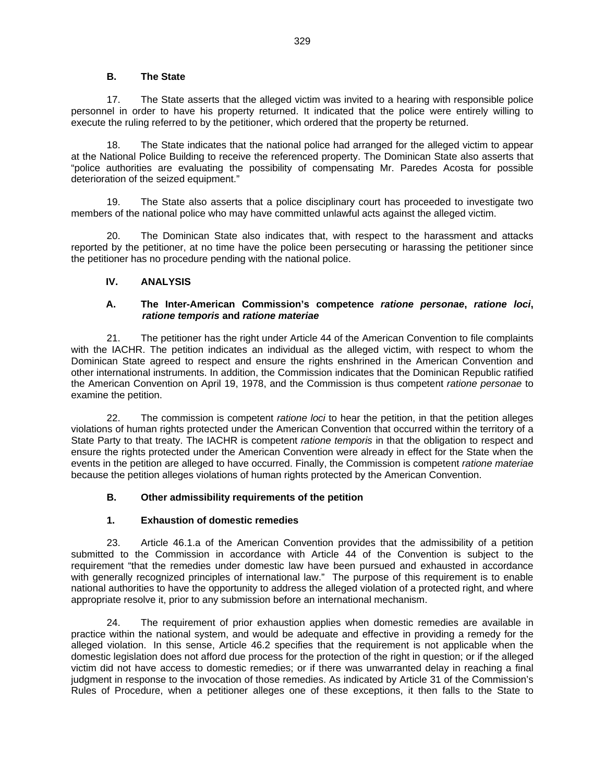### **B. The State**

17. The State asserts that the alleged victim was invited to a hearing with responsible police personnel in order to have his property returned. It indicated that the police were entirely willing to execute the ruling referred to by the petitioner, which ordered that the property be returned.

18. The State indicates that the national police had arranged for the alleged victim to appear at the National Police Building to receive the referenced property. The Dominican State also asserts that "police authorities are evaluating the possibility of compensating Mr. Paredes Acosta for possible deterioration of the seized equipment."

19. The State also asserts that a police disciplinary court has proceeded to investigate two members of the national police who may have committed unlawful acts against the alleged victim.

20. The Dominican State also indicates that, with respect to the harassment and attacks reported by the petitioner, at no time have the police been persecuting or harassing the petitioner since the petitioner has no procedure pending with the national police.

### **IV. ANALYSIS**

### **A. The Inter-American Commission's competence** *ratione personae***,** *ratione loci***,**  *ratione temporis* **and** *ratione materiae*

21. The petitioner has the right under Article 44 of the American Convention to file complaints with the IACHR. The petition indicates an individual as the alleged victim, with respect to whom the Dominican State agreed to respect and ensure the rights enshrined in the American Convention and other international instruments. In addition, the Commission indicates that the Dominican Republic ratified the American Convention on April 19, 1978, and the Commission is thus competent *ratione personae* to examine the petition.

22. The commission is competent *ratione loci* to hear the petition, in that the petition alleges violations of human rights protected under the American Convention that occurred within the territory of a State Party to that treaty. The IACHR is competent *ratione temporis* in that the obligation to respect and ensure the rights protected under the American Convention were already in effect for the State when the events in the petition are alleged to have occurred. Finally, the Commission is competent *ratione materiae* because the petition alleges violations of human rights protected by the American Convention.

# **B. Other admissibility requirements of the petition**

# **1. Exhaustion of domestic remedies**

23. Article 46.1.a of the American Convention provides that the admissibility of a petition submitted to the Commission in accordance with Article 44 of the Convention is subject to the requirement "that the remedies under domestic law have been pursued and exhausted in accordance with generally recognized principles of international law." The purpose of this requirement is to enable national authorities to have the opportunity to address the alleged violation of a protected right, and where appropriate resolve it, prior to any submission before an international mechanism.

24. The requirement of prior exhaustion applies when domestic remedies are available in practice within the national system, and would be adequate and effective in providing a remedy for the alleged violation. In this sense, Article 46.2 specifies that the requirement is not applicable when the domestic legislation does not afford due process for the protection of the right in question; or if the alleged victim did not have access to domestic remedies; or if there was unwarranted delay in reaching a final judgment in response to the invocation of those remedies. As indicated by Article 31 of the Commission's Rules of Procedure, when a petitioner alleges one of these exceptions, it then falls to the State to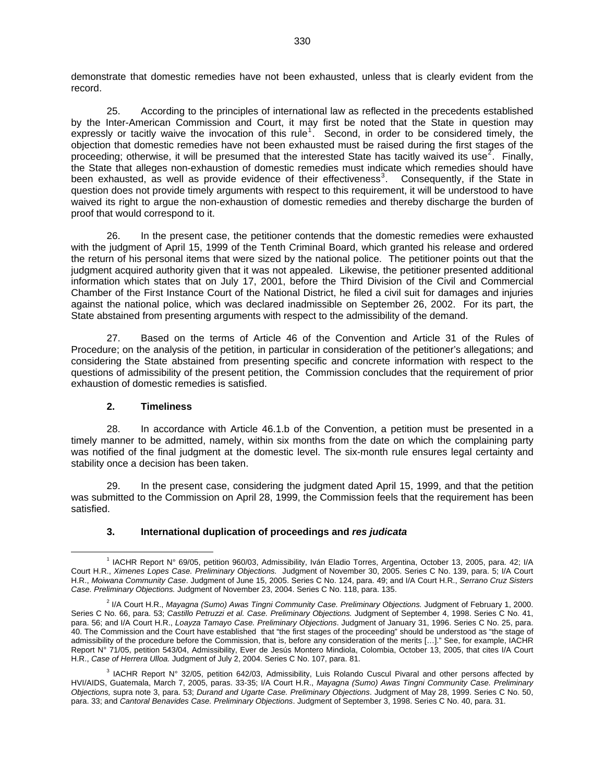demonstrate that domestic remedies have not been exhausted, unless that is clearly evident from the record.

25. According to the principles of international law as reflected in the precedents established by the Inter-American Commission and Court, it may first be noted that the State in question may expressly or tacitly waive the invocation of this rule<sup>[1](#page-4-0)</sup>. Second, in order to be considered timely, the objection that domestic remedies have not been exhausted must be raised during the first stages of the proceeding; otherwise, it will be presumed that the interested State has tacitly waived its use<sup>[2](#page-4-1)</sup>. Finally, the State that alleges non-exhaustion of domestic remedies must indicate which remedies should have been exhausted, as well as provide evidence of their effectiveness<sup>[3](#page-4-2)</sup>. Consequently, if the State in question does not provide timely arguments with respect to this requirement, it will be understood to have waived its right to argue the non-exhaustion of domestic remedies and thereby discharge the burden of proof that would correspond to it.

26. In the present case, the petitioner contends that the domestic remedies were exhausted with the judgment of April 15, 1999 of the Tenth Criminal Board, which granted his release and ordered the return of his personal items that were sized by the national police. The petitioner points out that the judgment acquired authority given that it was not appealed. Likewise, the petitioner presented additional information which states that on July 17, 2001, before the Third Division of the Civil and Commercial Chamber of the First Instance Court of the National District, he filed a civil suit for damages and injuries against the national police, which was declared inadmissible on September 26, 2002. For its part, the State abstained from presenting arguments with respect to the admissibility of the demand.

27. Based on the terms of Article 46 of the Convention and Article 31 of the Rules of Procedure; on the analysis of the petition, in particular in consideration of the petitioner's allegations; and considering the State abstained from presenting specific and concrete information with respect to the questions of admissibility of the present petition, the Commission concludes that the requirement of prior exhaustion of domestic remedies is satisfied.

#### **2. Timeliness**

28. In accordance with Article 46.1.b of the Convention, a petition must be presented in a timely manner to be admitted, namely, within six months from the date on which the complaining party was notified of the final judgment at the domestic level. The six-month rule ensures legal certainty and stability once a decision has been taken.

29. In the present case, considering the judgment dated April 15, 1999, and that the petition was submitted to the Commission on April 28, 1999, the Commission feels that the requirement has been satisfied.

# **3. International duplication of proceedings and** *res judicata*

<span id="page-4-0"></span><sup>&</sup>lt;u>1</u> <sup>1</sup> IACHR Report N° 69/05, petition 960/03, Admissibility, Iván Eladio Torres, Argentina, October 13, 2005, para. 42; I/A Court H.R., *Ximenes Lopes Case. Preliminary Objections.* Judgment of November 30, 2005. Series C No. 139, para. 5; I/A Court H.R., *Moiwana Community Case*. Judgment of June 15, 2005. Series C No. 124, para. 49; and I/A Court H.R., *Serrano Cruz Sisters Case. Preliminary Objections.* Judgment of November 23, 2004. Series C No. 118, para. 135.

<span id="page-4-1"></span><sup>2</sup> I/A Court H.R., *Mayagna (Sumo) Awas Tingni Community Case. Preliminary Objections.* Judgment of February 1, 2000. Series C No. 66, para. 53; *Castillo Petruzzi et al. Case. Preliminary Objections.* Judgment of September 4, 1998. Series C No. 41, para. 56; and I/A Court H.R., *Loayza Tamayo Case. Preliminary Objections*. Judgment of January 31, 1996. Series C No. 25, para. 40. The Commission and the Court have established that "the first stages of the proceeding" should be understood as "the stage of admissibility of the procedure before the Commission, that is, before any consideration of the merits […]." See, for example, IACHR Report N° 71/05, petition 543/04, Admissibility, Ever de Jesús Montero Mindiola, Colombia, October 13, 2005, that cites I/A Court H.R., *Case of Herrera Ulloa.* Judgment of July 2, 2004. Series C No. 107, para. 81.

<span id="page-4-2"></span><sup>&</sup>lt;sup>3</sup> IACHR Report N° 32/05, petition 642/03, Admissibility, Luis Rolando Cuscul Pivaral and other persons affected by HVI/AIDS, Guatemala, March 7, 2005, paras. 33-35; I/A Court H.R., *Mayagna (Sumo) Awas Tingni Community Case. Preliminary Objections,* supra note 3, para. 53; *Durand and Ugarte Case. Preliminary Objections*. Judgment of May 28, 1999. Series C No. 50, para. 33; and *Cantoral Benavides Case. Preliminary Objections*. Judgment of September 3, 1998. Series C No. 40, para. 31.